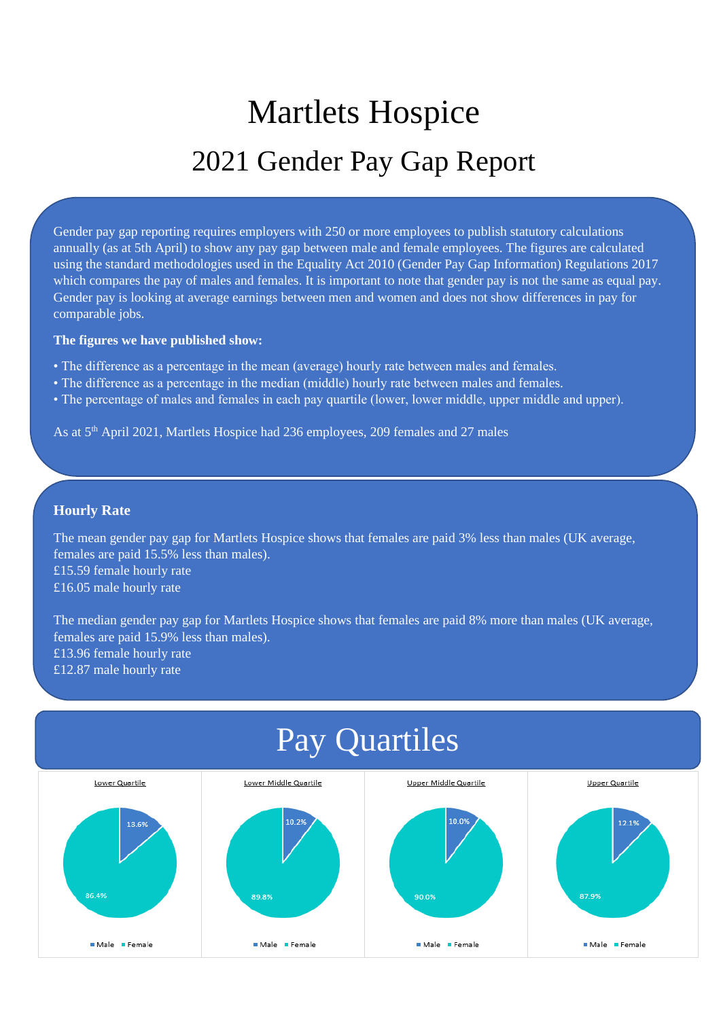# Martlets Hospice 2021 Gender Pay Gap Report

Gender pay gap reporting requires employers with 250 or more employees to publish statutory calculations annually (as at 5th April) to show any pay gap between male and female employees. The figures are calculated using the standard methodologies used in the Equality Act 2010 (Gender Pay Gap Information) Regulations 2017 which compares the pay of males and females. It is important to note that gender pay is not the same as equal pay. Gender pay is looking at average earnings between men and women and does not show differences in pay for comparable jobs.

#### **The figures we have published show:**

- The difference as a percentage in the mean (average) hourly rate between males and females.
- The difference as a percentage in the median (middle) hourly rate between males and females.
- The percentage of males and females in each pay quartile (lower, lower middle, upper middle and upper).

As at 5th April 2021, Martlets Hospice had 236 employees, 209 females and 27 males

### **Hourly Rate**

The mean gender pay gap for Martlets Hospice shows that females are paid 3% less than males (UK average, females are paid 15.5% less than males). £15.59 female hourly rate £16.05 male hourly rate

The median gender pay gap for Martlets Hospice shows that females are paid 8% more than males (UK average, females are paid 15.9% less than males). £13.96 female hourly rate £12.87 male hourly rate